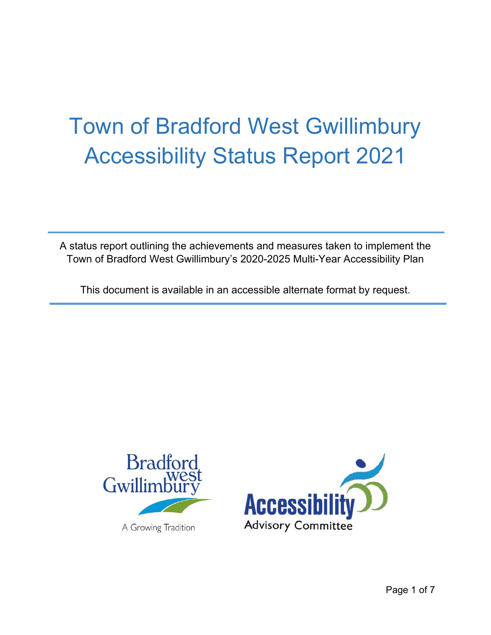# Town of Bradford West Gwillimbury Accessibility Status Report 2021

A status report outlining the achievements and measures taken to implement the Town of Bradford West Gwillimbury's 2020-2025 Multi-Year Accessibility Plan

This document is available in an accessible alternate format by request.



A Growing Tradition

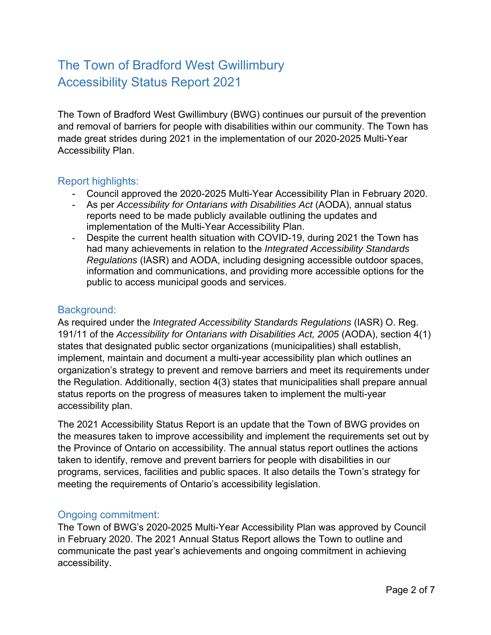# The Town of Bradford West Gwillimbury Accessibility Status Report 2021

The Town of Bradford West Gwillimbury (BWG) continues our pursuit of the prevention and removal of barriers for people with disabilities within our community. The Town has made great strides during 2021 in the implementation of our 2020-2025 Multi-Year Accessibility Plan.

#### Report highlights:

- Council approved the 2020-2025 Multi-Year Accessibility Plan in February 2020.
- As per *Accessibility for Ontarians with Disabilities Act* (AODA), annual status reports need to be made publicly available outlining the updates and implementation of the Multi-Year Accessibility Plan.
- Despite the current health situation with COVID-19, during 2021 the Town has had many achievements in relation to the *Integrated Accessibility Standards Regulations* (IASR) and AODA, including designing accessible outdoor spaces, information and communications, and providing more accessible options for the public to access municipal goods and services.

### Background:

As required under the *Integrated Accessibility Standards Regulations* (IASR) O. Reg. 191/11 of the *Accessibility for Ontarians with Disabilities Act, 2005* (AODA), section 4(1) states that designated public sector organizations (municipalities) shall establish, implement, maintain and document a multi-year accessibility plan which outlines an organization's strategy to prevent and remove barriers and meet its requirements under the Regulation. Additionally, section 4(3) states that municipalities shall prepare annual status reports on the progress of measures taken to implement the multi-year accessibility plan.

The 2021 Accessibility Status Report is an update that the Town of BWG provides on the measures taken to improve accessibility and implement the requirements set out by the Province of Ontario on accessibility. The annual status report outlines the actions taken to identify, remove and prevent barriers for people with disabilities in our programs, services, facilities and public spaces. It also details the Town's strategy for meeting the requirements of Ontario's accessibility legislation.

#### Ongoing commitment:

The Town of BWG's 2020-2025 Multi-Year Accessibility Plan was approved by Council in February 2020. The 2021 Annual Status Report allows the Town to outline and communicate the past year's achievements and ongoing commitment in achieving accessibility.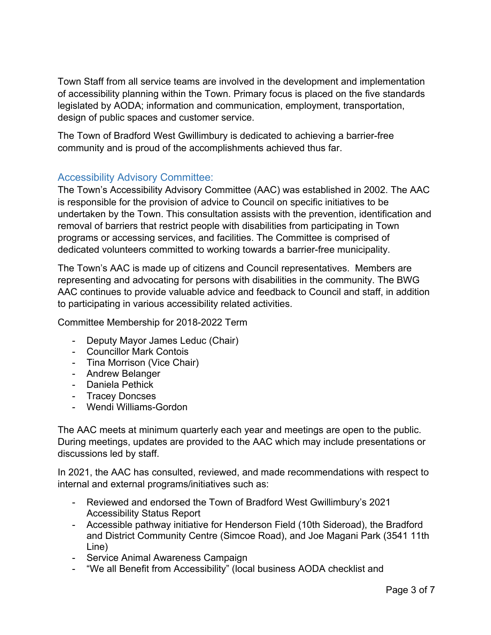Town Staff from all service teams are involved in the development and implementation of accessibility planning within the Town. Primary focus is placed on the five standards legislated by AODA; information and communication, employment, transportation, design of public spaces and customer service.

The Town of Bradford West Gwillimbury is dedicated to achieving a barrier-free community and is proud of the accomplishments achieved thus far.

## Accessibility Advisory Committee:

The Town's Accessibility Advisory Committee (AAC) was established in 2002. The AAC is responsible for the provision of advice to Council on specific initiatives to be undertaken by the Town. This consultation assists with the prevention, identification and removal of barriers that restrict people with disabilities from participating in Town programs or accessing services, and facilities. The Committee is comprised of dedicated volunteers committed to working towards a barrier-free municipality.

The Town's AAC is made up of citizens and Council representatives. Members are representing and advocating for persons with disabilities in the community. The BWG AAC continues to provide valuable advice and feedback to Council and staff, in addition to participating in various accessibility related activities.

Committee Membership for 2018-2022 Term

- Deputy Mayor James Leduc (Chair)
- Councillor Mark Contois
- Tina Morrison (Vice Chair)
- Andrew Belanger
- Daniela Pethick
- Tracey Doncses
- Wendi Williams-Gordon

The AAC meets at minimum quarterly each year and meetings are open to the public. During meetings, updates are provided to the AAC which may include presentations or discussions led by staff.

In 2021, the AAC has consulted, reviewed, and made recommendations with respect to internal and external programs/initiatives such as:

- Reviewed and endorsed the Town of Bradford West Gwillimbury's 2021 Accessibility Status Report
- Accessible pathway initiative for Henderson Field (10th Sideroad), the Bradford and District Community Centre (Simcoe Road), and Joe Magani Park (3541 11th Line)
- Service Animal Awareness Campaign
- "We all Benefit from Accessibility" (local business AODA checklist and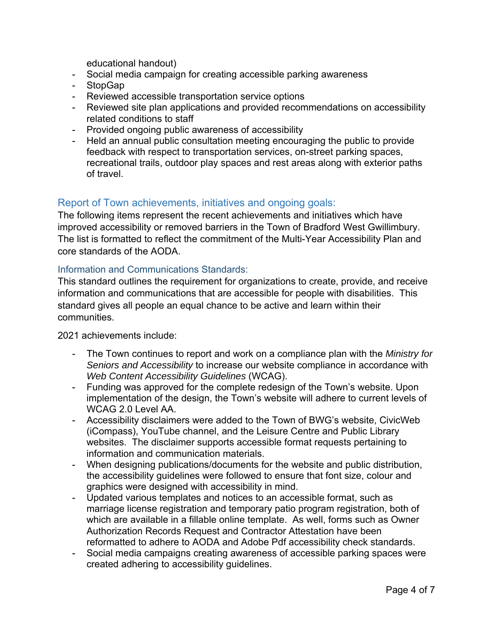educational handout)

- Social media campaign for creating accessible parking awareness
- StopGap
- Reviewed accessible transportation service options
- Reviewed site plan applications and provided recommendations on accessibility related conditions to staff
- Provided ongoing public awareness of accessibility
- Held an annual public consultation meeting encouraging the public to provide feedback with respect to transportation services, on-street parking spaces, recreational trails, outdoor play spaces and rest areas along with exterior paths of travel.

#### Report of Town achievements, initiatives and ongoing goals:

The following items represent the recent achievements and initiatives which have improved accessibility or removed barriers in the Town of Bradford West Gwillimbury. The list is formatted to reflect the commitment of the Multi-Year Accessibility Plan and core standards of the AODA.

#### Information and Communications Standards:

This standard outlines the requirement for organizations to create, provide, and receive information and communications that are accessible for people with disabilities. This standard gives all people an equal chance to be active and learn within their communities.

2021 achievements include:

- The Town continues to report and work on a compliance plan with the *Ministry for Seniors and Accessibility* to increase our website compliance in accordance with *Web Content Accessibility Guidelines* (WCAG).
- Funding was approved for the complete redesign of the Town's website. Upon implementation of the design, the Town's website will adhere to current levels of WCAG 2.0 Level AA.
- Accessibility disclaimers were added to the Town of BWG's website, CivicWeb (iCompass), YouTube channel, and the Leisure Centre and Public Library websites. The disclaimer supports accessible format requests pertaining to information and communication materials.
- When designing publications/documents for the website and public distribution, the accessibility guidelines were followed to ensure that font size, colour and graphics were designed with accessibility in mind.
- Updated various templates and notices to an accessible format, such as marriage license registration and temporary patio program registration, both of which are available in a fillable online template. As well, forms such as Owner Authorization Records Request and Contractor Attestation have been reformatted to adhere to AODA and Adobe Pdf accessibility check standards.
- Social media campaigns creating awareness of accessible parking spaces were created adhering to accessibility guidelines.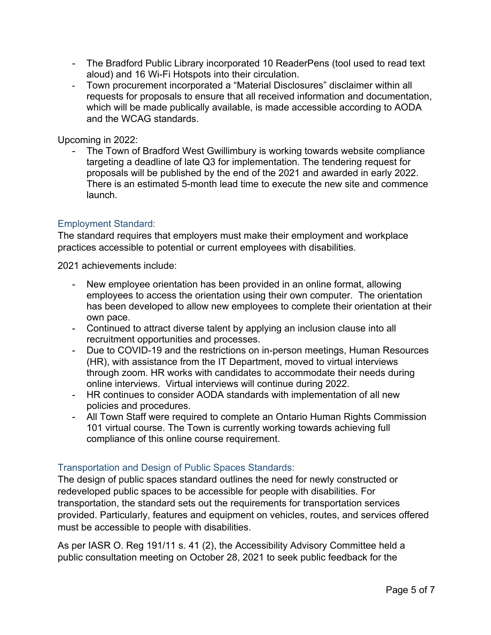- The Bradford Public Library incorporated 10 ReaderPens (tool used to read text aloud) and 16 Wi-Fi Hotspots into their circulation.
- Town procurement incorporated a "Material Disclosures" disclaimer within all requests for proposals to ensure that all received information and documentation, which will be made publically available, is made accessible according to AODA and the WCAG standards.

Upcoming in 2022:

The Town of Bradford West Gwillimbury is working towards website compliance targeting a deadline of late Q3 for implementation. The tendering request for proposals will be published by the end of the 2021 and awarded in early 2022. There is an estimated 5-month lead time to execute the new site and commence launch.

#### Employment Standard:

The standard requires that employers must make their employment and workplace practices accessible to potential or current employees with disabilities.

2021 achievements include:

- New employee orientation has been provided in an online format, allowing employees to access the orientation using their own computer. The orientation has been developed to allow new employees to complete their orientation at their own pace.
- Continued to attract diverse talent by applying an inclusion clause into all recruitment opportunities and processes.
- Due to COVID-19 and the restrictions on in-person meetings, Human Resources (HR), with assistance from the IT Department, moved to virtual interviews through zoom. HR works with candidates to accommodate their needs during online interviews. Virtual interviews will continue during 2022.
- HR continues to consider AODA standards with implementation of all new policies and procedures.
- All Town Staff were required to complete an Ontario Human Rights Commission 101 virtual course. The Town is currently working towards achieving full compliance of this online course requirement.

#### Transportation and Design of Public Spaces Standards:

must be accessible to people with disabilities. The design of public spaces standard outlines the need for newly constructed or redeveloped public spaces to be accessible for people with disabilities. For transportation, the standard sets out the requirements for transportation services provided. Particularly, features and equipment on vehicles, routes, and services offered

As per IASR O. Reg 191/11 s. 41 (2), the Accessibility Advisory Committee held a public consultation meeting on October 28, 2021 to seek public feedback for the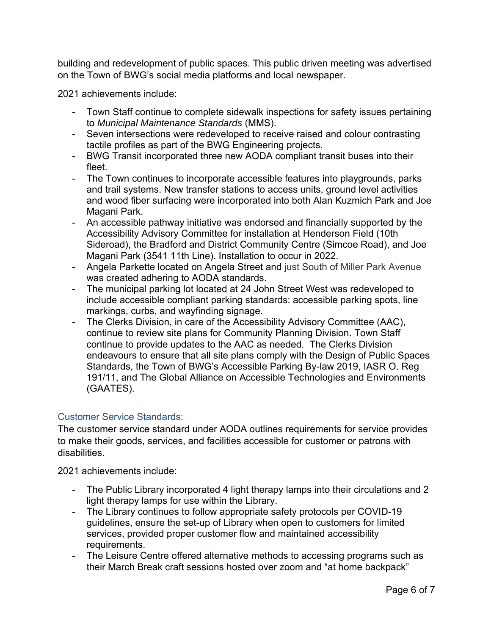building and redevelopment of public spaces. This public driven meeting was advertised on the Town of BWG's social media platforms and local newspaper.

2021 achievements include:

- Town Staff continue to complete sidewalk inspections for safety issues pertaining to *Municipal Maintenance Standards* (MMS).
- Seven intersections were redeveloped to receive raised and colour contrasting tactile profiles as part of the BWG Engineering projects.
- BWG Transit incorporated three new AODA compliant transit buses into their fleet.
- The Town continues to incorporate accessible features into playgrounds, parks and trail systems. New transfer stations to access units, ground level activities and wood fiber surfacing were incorporated into both Alan Kuzmich Park and Joe Magani Park.
- An accessible pathway initiative was endorsed and financially supported by the Accessibility Advisory Committee for installation at Henderson Field (10th Sideroad), the Bradford and District Community Centre (Simcoe Road), and Joe Magani Park (3541 11th Line). Installation to occur in 2022.
- Angela Parkette located on Angela Street and just South of Miller Park Avenue was created adhering to AODA standards.
- The municipal parking lot located at 24 John Street West was redeveloped to include accessible compliant parking standards: accessible parking spots, line markings, curbs, and wayfinding signage.
- The Clerks Division, in care of the Accessibility Advisory Committee (AAC), continue to review site plans for Community Planning Division. Town Staff continue to provide updates to the AAC as needed. The Clerks Division endeavours to ensure that all site plans comply with the Design of Public Spaces Standards, the Town of BWG's Accessible Parking By-law 2019, IASR O. Reg 191/11, and The Global Alliance on Accessible Technologies and Environments (GAATES).

#### Customer Service Standards:

The customer service standard under AODA outlines requirements for service provides to make their goods, services, and facilities accessible for customer or patrons with disabilities.

2021 achievements include:

- The Public Library incorporated 4 light therapy lamps into their circulations and 2 light therapy lamps for use within the Library.
- The Library continues to follow appropriate safety protocols per COVID-19 guidelines, ensure the set-up of Library when open to customers for limited services, provided proper customer flow and maintained accessibility requirements.
- The Leisure Centre offered alternative methods to accessing programs such as their March Break craft sessions hosted over zoom and "at home backpack"